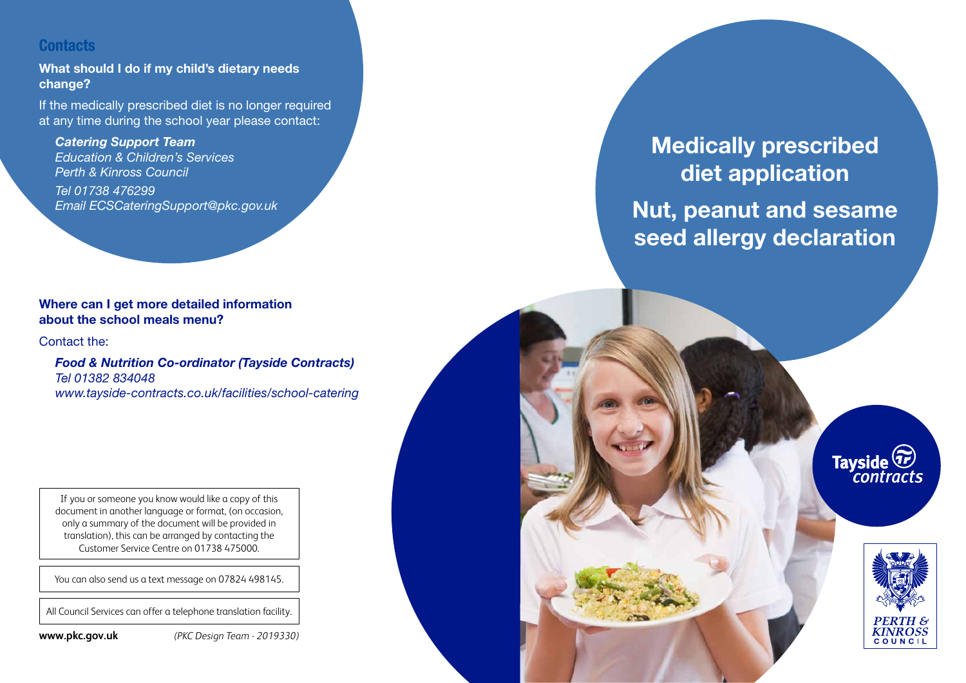# **Contacts**

**What should I do if my child's dietary needs change?**

If the medically prescribed diet is no longer required at any time during the school year please contact:

*Catering Support Team Education & Children's Services Perth & Kinross Council Tel 01738 476299 Email ECSCateringSupport@pkc.gov.uk*

## **Where can I get more detailed information about the school meals menu?**

Contact the:

*Food & Nutrition Co-ordinator (Tayside Contracts) Tel 01382 834048 www.tayside-contracts.co.uk/facilities/school-catering*

If you or someone you know would like a copy of this document in another language or format, (on occasion, only a summary of the document will be provided in translation), this can be arranged by contacting the Customer Service Centre on 01738 475000.

You can also send us a text message on 07824 498145.

All Council Services can offer a telephone translation facility.

**www.pkc.gov.uk** *(PKC Design Team - 2019330)*

# **Medically prescribed diet application Nut, peanut and sesame seed allergy declaration**

Tayside<sup>(Tr)</sup><br>contracts